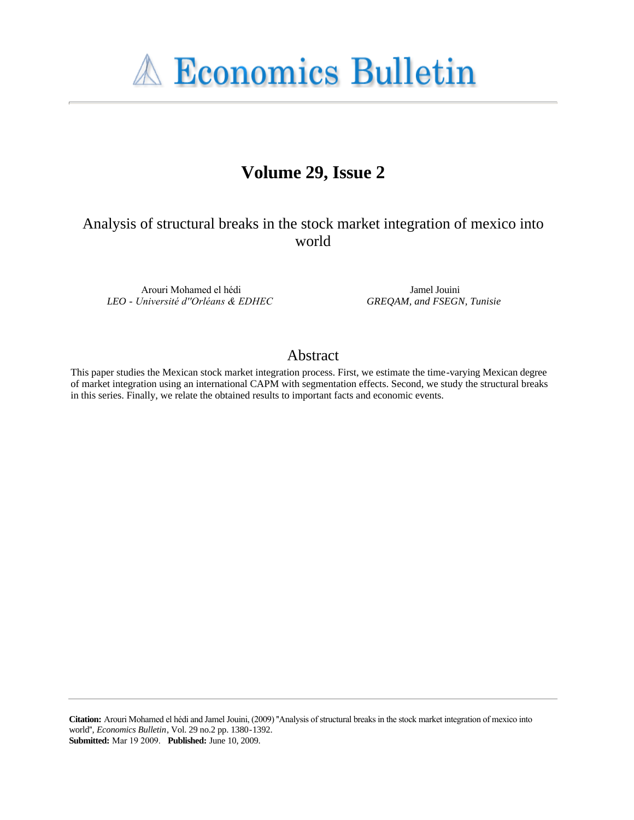**A Economics Bulletin** 

# **Volume 29, Issue 2**

Analysis of structural breaks in the stock market integration of mexico into world

Arouri Mohamed el hédi *LEO - Université d''Orléans & EDHEC*

Jamel Jouini *GREQAM, and FSEGN, Tunisie*

## Abstract

This paper studies the Mexican stock market integration process. First, we estimate the time-varying Mexican degree of market integration using an international CAPM with segmentation effects. Second, we study the structural breaks in this series. Finally, we relate the obtained results to important facts and economic events.

**Citation:** Arouri Mohamed el hédi and Jamel Jouini, (2009) ''Analysis of structural breaks in the stock market integration of mexico into world'', *Economics Bulletin*, Vol. 29 no.2 pp. 1380-1392. **Submitted:** Mar 19 2009. **Published:** June 10, 2009.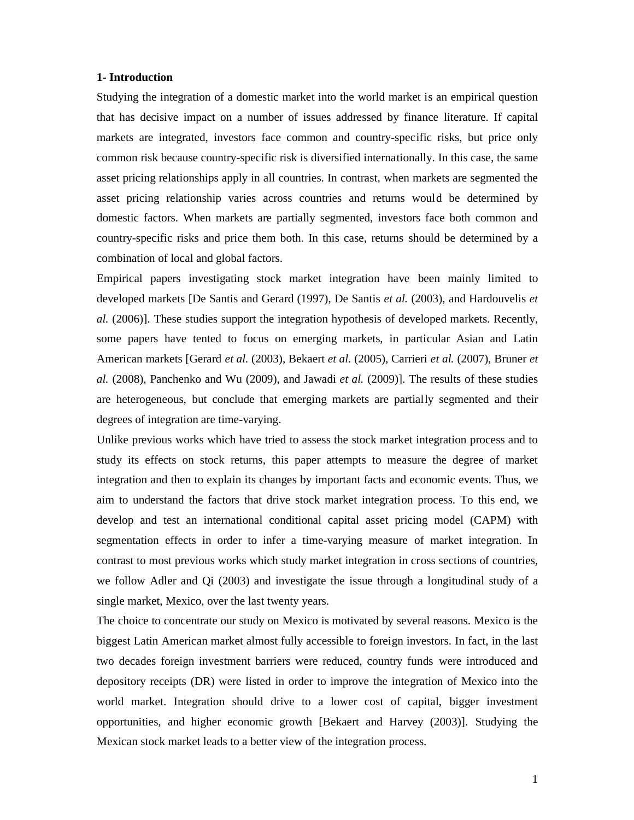#### **1- Introduction**

Studying the integration of a domestic market into the world market is an empirical question that has decisive impact on a number of issues addressed by finance literature. If capital markets are integrated, investors face common and country-specific risks, but price only common risk because country-specific risk is diversified internationally. In this case, the same asset pricing relationships apply in all countries. In contrast, when markets are segmented the asset pricing relationship varies across countries and returns would be determined by domestic factors. When markets are partially segmented, investors face both common and country-specific risks and price them both. In this case, returns should be determined by a combination of local and global factors.

Empirical papers investigating stock market integration have been mainly limited to developed markets [De Santis and Gerard (1997), De Santis *et al.* (2003), and Hardouvelis *et al.* (2006)]. These studies support the integration hypothesis of developed markets. Recently, some papers have tented to focus on emerging markets, in particular Asian and Latin American markets [Gerard *et al.* (2003), Bekaert *et al.* (2005), Carrieri *et al.* (2007), Bruner *et al.* (2008), Panchenko and Wu (2009), and Jawadi *et al.* (2009)]. The results of these studies are heterogeneous, but conclude that emerging markets are partially segmented and their degrees of integration are time-varying.

Unlike previous works which have tried to assess the stock market integration process and to study its effects on stock returns, this paper attempts to measure the degree of market integration and then to explain its changes by important facts and economic events. Thus, we aim to understand the factors that drive stock market integration process. To this end, we develop and test an international conditional capital asset pricing model (CAPM) with segmentation effects in order to infer a time-varying measure of market integration. In contrast to most previous works which study market integration in cross sections of countries, we follow Adler and Qi (2003) and investigate the issue through a longitudinal study of a single market, Mexico, over the last twenty years.

The choice to concentrate our study on Mexico is motivated by several reasons. Mexico is the biggest Latin American market almost fully accessible to foreign investors. In fact, in the last two decades foreign investment barriers were reduced, country funds were introduced and depository receipts (DR) were listed in order to improve the integration of Mexico into the world market. Integration should drive to a lower cost of capital, bigger investment opportunities, and higher economic growth [Bekaert and Harvey (2003)]. Studying the Mexican stock market leads to a better view of the integration process.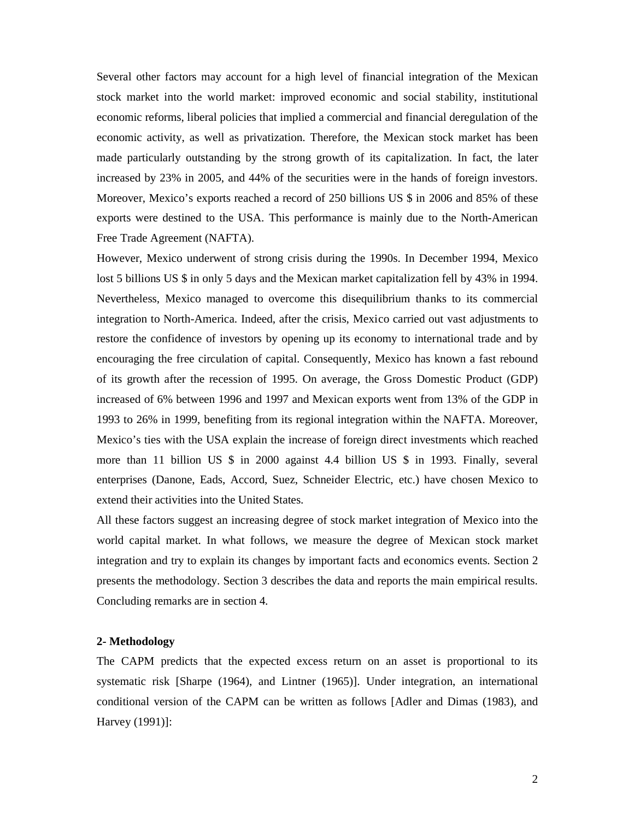Several other factors may account for a high level of financial integration of the Mexican stock market into the world market: improved economic and social stability, institutional economic reforms, liberal policies that implied a commercial and financial deregulation of the economic activity, as well as privatization. Therefore, the Mexican stock market has been made particularly outstanding by the strong growth of its capitalization. In fact, the later increased by 23% in 2005, and 44% of the securities were in the hands of foreign investors. Moreover, Mexico's exports reached a record of 250 billions US \$ in 2006 and 85% of these exports were destined to the USA. This performance is mainly due to the North-American Free Trade Agreement (NAFTA).

However, Mexico underwent of strong crisis during the 1990s. In December 1994, Mexico lost 5 billions US \$ in only 5 days and the Mexican market capitalization fell by 43% in 1994. Nevertheless, Mexico managed to overcome this disequilibrium thanks to its commercial integration to North-America. Indeed, after the crisis, Mexico carried out vast adjustments to restore the confidence of investors by opening up its economy to international trade and by encouraging the free circulation of capital. Consequently, Mexico has known a fast rebound of its growth after the recession of 1995. On average, the Gross Domestic Product (GDP) increased of 6% between 1996 and 1997 and Mexican exports went from 13% of the GDP in 1993 to 26% in 1999, benefiting from its regional integration within the NAFTA. Moreover, Mexico's ties with the USA explain the increase of foreign direct investments which reached more than 11 billion US \$ in 2000 against 4.4 billion US \$ in 1993. Finally, several enterprises (Danone, Eads, Accord, Suez, Schneider Electric, etc.) have chosen Mexico to extend their activities into the United States.

All these factors suggest an increasing degree of stock market integration of Mexico into the world capital market. In what follows, we measure the degree of Mexican stock market integration and try to explain its changes by important facts and economics events. Section 2 presents the methodology. Section 3 describes the data and reports the main empirical results. Concluding remarks are in section 4.

#### **2- Methodology**

The CAPM predicts that the expected excess return on an asset is proportional to its systematic risk [Sharpe (1964), and Lintner (1965)]. Under integration, an international conditional version of the CAPM can be written as follows [Adler and Dimas (1983), and Harvey (1991)]: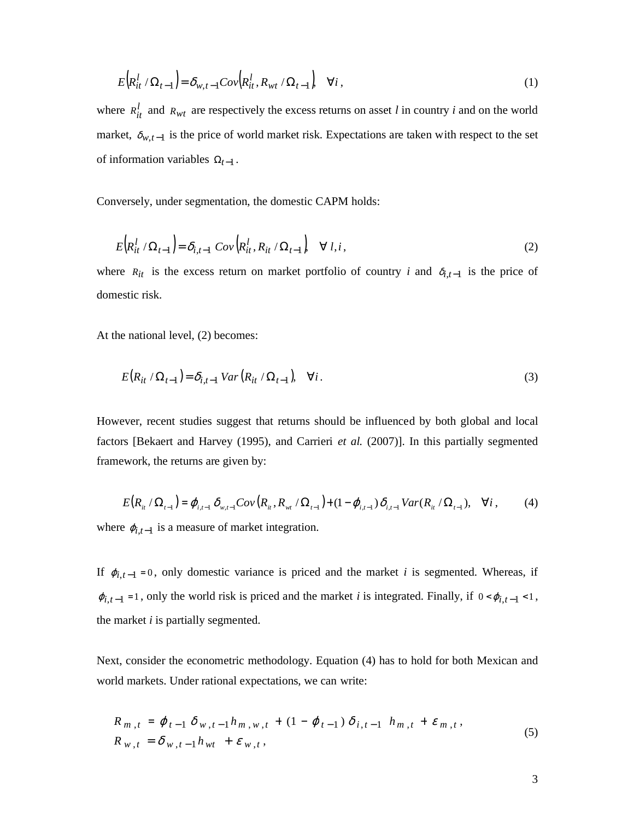$$
E\Big(R_{it}^l \ / \Omega_{t-1}\Big) = \delta_{w,t-1}Cov\Big(R_{it}^l, R_{wt} \ / \Omega_{t-1}\Big) \quad \forall i \,,\tag{1}
$$

where  $R_{it}^l$  and  $R_{wt}$  are respectively the excess returns on asset *l* in country *i* and on the world market,  $\delta_{w,t-1}$  is the price of world market risk. Expectations are taken with respect to the set of information variables  $\Omega_{t-1}$ .

Conversely, under segmentation, the domestic CAPM holds:

$$
E\Big(R_{it}^l \ / \Omega_{t-1}\Big) = \delta_{i,t-1} \ Cov\Big(R_{it}^l, R_{it} \ / \Omega_{t-1}\Big) \quad \forall \ l, i \,, \tag{2}
$$

where  $R_{it}$  is the excess return on market portfolio of country *i* and  $\delta_{i,t-1}$  is the price of domestic risk.

At the national level, (2) becomes:

$$
E(R_{it} / \Omega_{t-1}) = \delta_{i,t-1} \, Var(R_{it} / \Omega_{t-1}), \quad \forall i. \tag{3}
$$

However, recent studies suggest that returns should be influenced by both global and local factors [Bekaert and Harvey (1995), and Carrieri *et al.* (2007)]. In this partially segmented framework, the returns are given by:

$$
E(R_{ii} / \Omega_{t-1}) = \varphi_{i,t-1} \delta_{w,t-1} Cov(R_{ii}, R_{wi} / \Omega_{t-1}) + (1 - \varphi_{i,t-1}) \delta_{i,t-1} Var(R_{ii} / \Omega_{t-1}), \quad \forall i, \tag{4}
$$

where  $\varphi_{i,t-1}$  is a measure of market integration.

If  $\varphi_{i,t-1} = 0$ , only domestic variance is priced and the market *i* is segmented. Whereas, if  $\varphi_{i,t-1} = 1$ , only the world risk is priced and the market *i* is integrated. Finally, if  $0 < \varphi_{i,t-1} < 1$ , the market *i* is partially segmented.

Next, consider the econometric methodology. Equation (4) has to hold for both Mexican and world markets. Under rational expectations, we can write:

$$
R_{m,t} = \varphi_{t-1} \, \delta_{w,t-1} h_{m,w,t} + (1 - \varphi_{t-1}) \, \delta_{i,t-1} \, h_{m,t} + \varepsilon_{m,t},
$$
  
\n
$$
R_{w,t} = \delta_{w,t-1} h_{wt} + \varepsilon_{w,t},
$$
\n(5)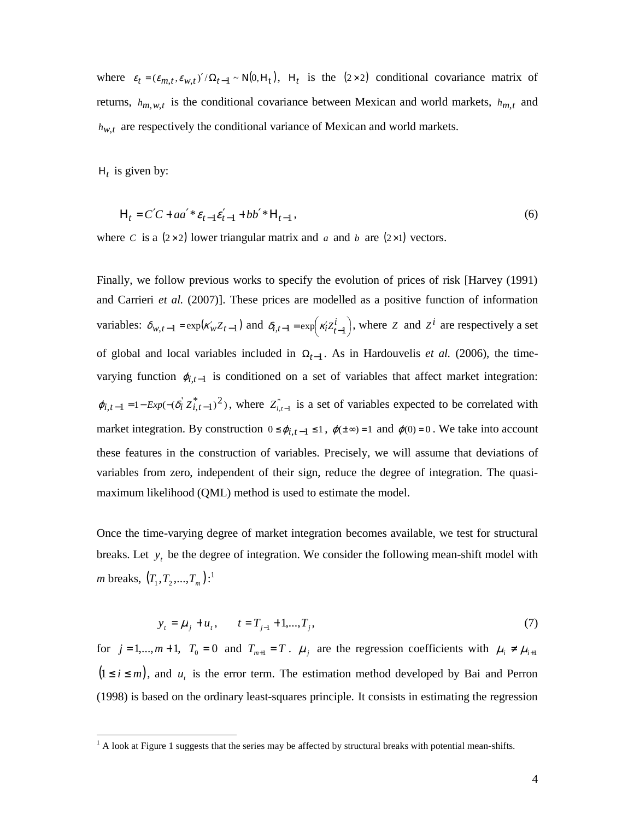where  $\varepsilon_t = (\varepsilon_{m,t}, \varepsilon_{w,t})' / \Omega_{t-1} \sim N(0, H_t)$ ,  $H_t$  is the (2×2) conditional covariance matrix of returns,  $h_{m,w,t}$  is the conditional covariance between Mexican and world markets,  $h_{m,t}$  and  $h_{w,t}$  are respectively the conditional variance of Mexican and world markets.

 $H_t$  is given by:

$$
H_t = C'C + aa' * \varepsilon_{t-1} \varepsilon_{t-1}' + bb' * H_{t-1},
$$
\n(6)

where *C* is a  $(2 \times 2)$  lower triangular matrix and *a* and *b* are  $(2 \times 1)$  vectors.

Finally, we follow previous works to specify the evolution of prices of risk [Harvey (1991) and Carrieri *et al.* (2007)]. These prices are modelled as a positive function of information variables:  $\delta_{w,t-1} = \exp(\kappa_w' Z_{t-1})$  and  $\delta_{i,t-1} = \exp(\kappa_i' Z_{t-1}^t)$  $\left(\kappa'_{i}Z^{i}_{t-1}\right)$ ſ  $-1 = \exp\left(\kappa_i^2 Z_{t-1}^i\right)$  $\delta_{i,t-1} = \exp\left(\kappa_i^2 Z_{t-1}^i\right)$ , where *Z* and *Z*<sup>*i*</sup> are respectively a set of global and local variables included in  $\Omega_{t-1}$ . As in Hardouvelis *et al.* (2006), the timevarying function  $\varphi_{i,t-1}$  is conditioned on a set of variables that affect market integration:  $\varphi_{i,t-1} = 1 - Exp(-(\delta_i^{\dagger} Z_{i,t-1}^*)^2)$ , where  $Z_{i,t-1}^*$  is a set of variables expected to be correlated with market integration. By construction  $0 \le \varphi_{i,t-1} \le 1$ ,  $\varphi(\pm \infty) = 1$  and  $\varphi(0) = 0$ . We take into account these features in the construction of variables. Precisely, we will assume that deviations of variables from zero, independent of their sign, reduce the degree of integration. The quasimaximum likelihood (QML) method is used to estimate the model.

Once the time-varying degree of market integration becomes available, we test for structural breaks. Let  $y_t$  be the degree of integration. We consider the following mean-shift model with *m* breaks,  $(T_1, T_2, ..., T_m):$ <sup>1</sup>

$$
y_t = \mu_j + u_t, \qquad t = T_{j-1} + 1, \dots, T_j,\tag{7}
$$

for  $j = 1,...,m+1$ ,  $T_0 = 0$  and  $T_{m+1} = T$ .  $\mu_j$  are the regression coefficients with  $\mu_i \neq \mu_{i+1}$  $(1 \le i \le m)$ , and  $u_i$  is the error term. The estimation method developed by Bai and Perron (1998) is based on the ordinary least-squares principle. It consists in estimating the regression

<sup>&</sup>lt;sup>1</sup> A look at Figure 1 suggests that the series may be affected by structural breaks with potential mean-shifts.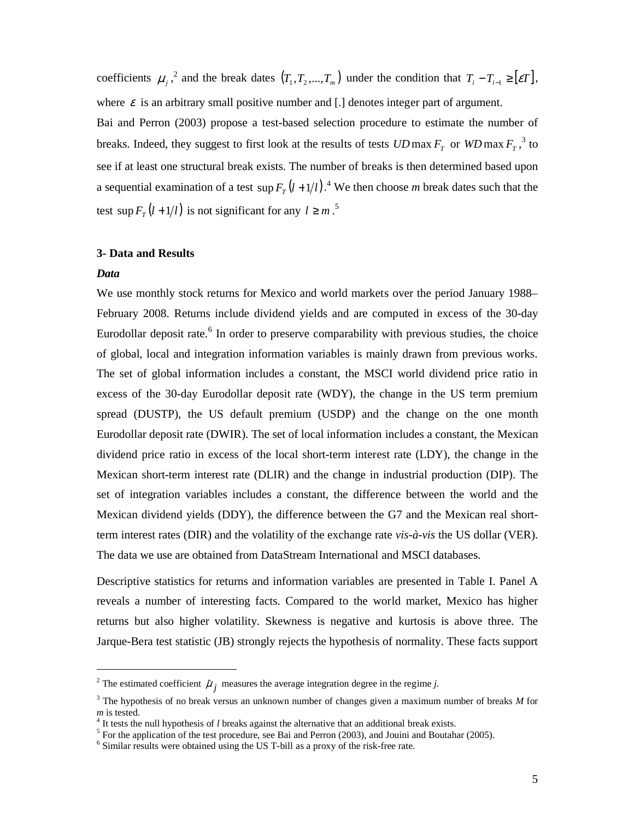coefficients  $\mu_j$ ,  $\lambda$  and the break dates  $(T_1, T_2, ..., T_m)$  under the condition that  $T_i - T_{i-1} \geq [\varepsilon T]$ , where  $\varepsilon$  is an arbitrary small positive number and [.] denotes integer part of argument.

Bai and Perron (2003) propose a test-based selection procedure to estimate the number of breaks. Indeed, they suggest to first look at the results of tests  $UD$  max  $F<sub>T</sub>$  or  $WD$  max  $F<sub>T</sub>$ ,<sup>3</sup> to see if at least one structural break exists. The number of breaks is then determined based upon a sequential examination of a test  $\sup F_T(l+1/l)$ .<sup>4</sup> We then choose *m* break dates such that the test  $\sup F_T(l+1/l)$  is not significant for any  $l \geq m$ .<sup>5</sup>

## **3- Data and Results**

#### *Data*

-

We use monthly stock returns for Mexico and world markets over the period January 1988– February 2008. Returns include dividend yields and are computed in excess of the 30-day Eurodollar deposit rate.<sup>6</sup> In order to preserve comparability with previous studies, the choice of global, local and integration information variables is mainly drawn from previous works. The set of global information includes a constant, the MSCI world dividend price ratio in excess of the 30-day Eurodollar deposit rate (WDY), the change in the US term premium spread (DUSTP), the US default premium (USDP) and the change on the one month Eurodollar deposit rate (DWIR). The set of local information includes a constant, the Mexican dividend price ratio in excess of the local short-term interest rate (LDY), the change in the Mexican short-term interest rate (DLIR) and the change in industrial production (DIP). The set of integration variables includes a constant, the difference between the world and the Mexican dividend yields (DDY), the difference between the G7 and the Mexican real shortterm interest rates (DIR) and the volatility of the exchange rate *vis-à-vis* the US dollar (VER). The data we use are obtained from DataStream International and MSCI databases.

Descriptive statistics for returns and information variables are presented in Table I. Panel A reveals a number of interesting facts. Compared to the world market, Mexico has higher returns but also higher volatility. Skewness is negative and kurtosis is above three. The Jarque-Bera test statistic (JB) strongly rejects the hypothesis of normality. These facts support

<sup>&</sup>lt;sup>2</sup> The estimated coefficient  $\hat{\mu}$ <sub>*j*</sub> measures the average integration degree in the regime *j*.

<sup>3</sup> The hypothesis of no break versus an unknown number of changes given a maximum number of breaks *M* for *m* is tested.

<sup>&</sup>lt;sup>4</sup> It tests the null hypothesis of *l* breaks against the alternative that an additional break exists.

 $<sup>5</sup>$  For the application of the test procedure, see Bai and Perron (2003), and Jouini and Boutahar (2005).</sup>

<sup>&</sup>lt;sup>6</sup> Similar results were obtained using the US T-bill as a proxy of the risk-free rate.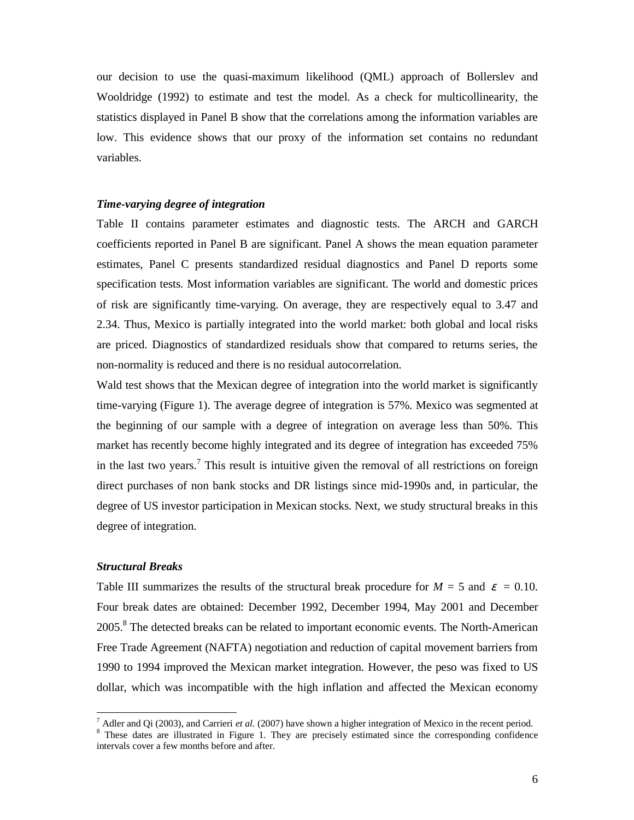our decision to use the quasi-maximum likelihood (QML) approach of Bollerslev and Wooldridge (1992) to estimate and test the model. As a check for multicollinearity, the statistics displayed in Panel B show that the correlations among the information variables are low. This evidence shows that our proxy of the information set contains no redundant variables.

## *Time-varying degree of integration*

Table II contains parameter estimates and diagnostic tests. The ARCH and GARCH coefficients reported in Panel B are significant. Panel A shows the mean equation parameter estimates, Panel C presents standardized residual diagnostics and Panel D reports some specification tests. Most information variables are significant. The world and domestic prices of risk are significantly time-varying. On average, they are respectively equal to 3.47 and 2.34. Thus, Mexico is partially integrated into the world market: both global and local risks are priced. Diagnostics of standardized residuals show that compared to returns series, the non-normality is reduced and there is no residual autocorrelation.

Wald test shows that the Mexican degree of integration into the world market is significantly time-varying (Figure 1). The average degree of integration is 57%. Mexico was segmented at the beginning of our sample with a degree of integration on average less than 50%. This market has recently become highly integrated and its degree of integration has exceeded 75% in the last two years.<sup>7</sup> This result is intuitive given the removal of all restrictions on foreign direct purchases of non bank stocks and DR listings since mid-1990s and, in particular, the degree of US investor participation in Mexican stocks. Next, we study structural breaks in this degree of integration.

## *Structural Breaks*

-

Table III summarizes the results of the structural break procedure for  $M = 5$  and  $\varepsilon = 0.10$ . Four break dates are obtained: December 1992, December 1994, May 2001 and December 2005.<sup>8</sup> The detected breaks can be related to important economic events. The North-American Free Trade Agreement (NAFTA) negotiation and reduction of capital movement barriers from 1990 to 1994 improved the Mexican market integration. However, the peso was fixed to US dollar, which was incompatible with the high inflation and affected the Mexican economy

<sup>7</sup> Adler and Qi (2003), and Carrieri *et al.* (2007) have shown a higher integration of Mexico in the recent period.

<sup>&</sup>lt;sup>8</sup> These dates are illustrated in Figure 1. They are precisely estimated since the corresponding confidence intervals cover a few months before and after.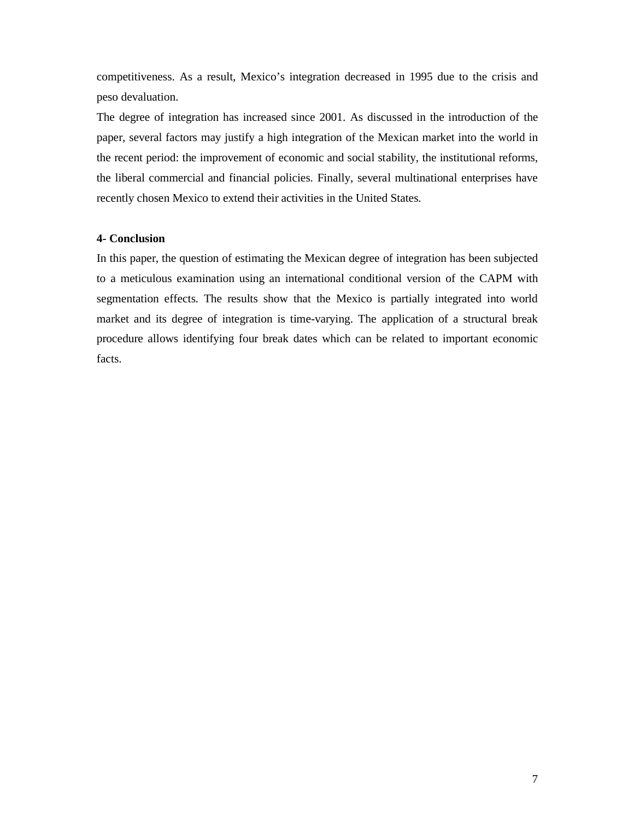competitiveness. As a result, Mexico's integration decreased in 1995 due to the crisis and peso devaluation.

The degree of integration has increased since 2001. As discussed in the introduction of the paper, several factors may justify a high integration of the Mexican market into the world in the recent period: the improvement of economic and social stability, the institutional reforms, the liberal commercial and financial policies. Finally, several multinational enterprises have recently chosen Mexico to extend their activities in the United States.

## **4- Conclusion**

In this paper, the question of estimating the Mexican degree of integration has been subjected to a meticulous examination using an international conditional version of the CAPM with segmentation effects. The results show that the Mexico is partially integrated into world market and its degree of integration is time-varying. The application of a structural break procedure allows identifying four break dates which can be related to important economic facts.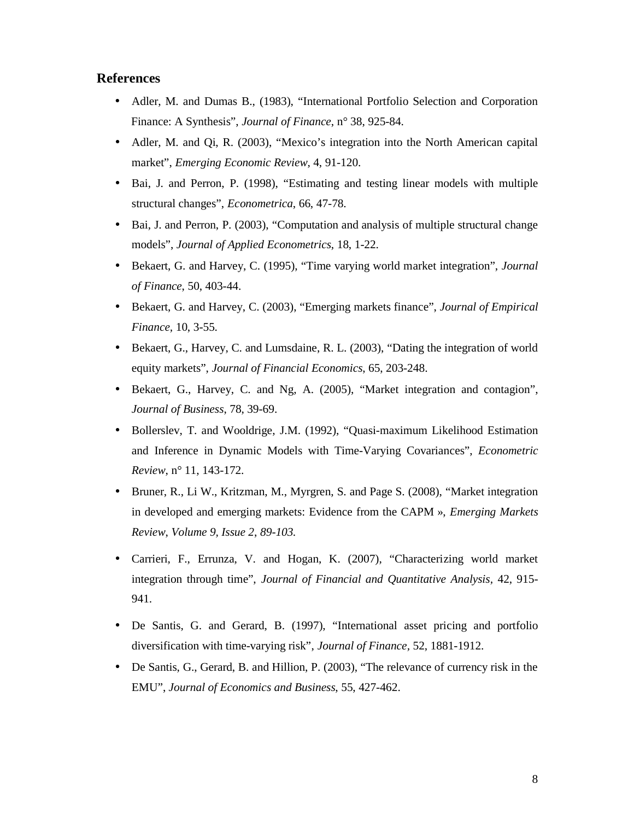## **References**

- Adler, M. and Dumas B., (1983), "International Portfolio Selection and Corporation Finance: A Synthesis", *Journal of Finance*, n° 38, 925-84.
- Adler, M. and Qi, R. (2003), "Mexico's integration into the North American capital market", *Emerging Economic Review*, 4, 91-120.
- Bai, J. and Perron, P. (1998), "Estimating and testing linear models with multiple structural changes", *Econometrica*, 66, 47-78.
- Bai, J. and Perron, P. (2003), "Computation and analysis of multiple structural change models", *Journal of Applied Econometrics*, 18, 1-22.
- Bekaert, G. and Harvey, C. (1995), "Time varying world market integration", *Journal of Finance*, 50, 403-44.
- Bekaert, G. and Harvey, C. (2003), "Emerging markets finance", *Journal of Empirical Finance,* 10, 3-55.
- Bekaert, G., Harvey, C. and Lumsdaine, R. L. (2003), "Dating the integration of world equity markets", *Journal of Financial Economics*, 65, 203-248.
- Bekaert, G., Harvey, C. and Ng, A. (2005), "Market integration and contagion", *Journal of Business*, 78, 39-69.
- Bollerslev, T. and Wooldrige, J.M. (1992), "Quasi-maximum Likelihood Estimation and Inference in Dynamic Models with Time-Varying Covariances", *Econometric Review*, n° 11, 143-172.
- Bruner, R., Li W., Kritzman, M., Myrgren, S. and Page S. (2008), "Market integration in developed and emerging markets: Evidence from the CAPM », *Emerging Markets Review*, *Volume 9, Issue 2*, *89-103.*
- Carrieri, F., Errunza, V. and Hogan, K. (2007), "Characterizing world market integration through time", *Journal of Financial and Quantitative Analysis,* 42, 915- 941.
- De Santis, G. and Gerard, B. (1997), "International asset pricing and portfolio diversification with time-varying risk", *Journal of Finance,* 52, 1881-1912.
- De Santis, G., Gerard, B. and Hillion, P. (2003), "The relevance of currency risk in the EMU", *Journal of Economics and Business*, 55, 427-462.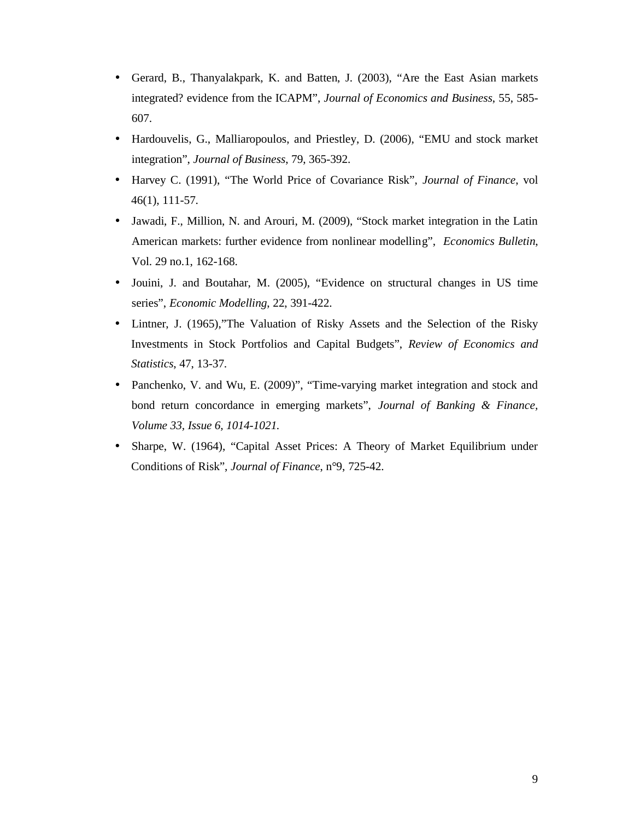- Gerard, B., Thanyalakpark, K. and Batten, J. (2003), "Are the East Asian markets integrated? evidence from the ICAPM", *Journal of Economics and Business*, 55, 585- 607.
- Hardouvelis, G., Malliaropoulos, and Priestley, D. (2006), "EMU and stock market integration", *Journal of Business*, 79, 365-392.
- Harvey C. (1991), "The World Price of Covariance Risk", *Journal of Finance*, vol 46(1), 111-57.
- Jawadi, F., Million, N. and Arouri, M. (2009), "Stock market integration in the Latin American markets: further evidence from nonlinear modelling", *Economics Bulletin*, Vol. 29 no.1, 162-168.
- Jouini, J. and Boutahar, M. (2005), "Evidence on structural changes in US time series", *Economic Modelling*, 22, 391-422.
- Lintner, J. (1965),"The Valuation of Risky Assets and the Selection of the Risky Investments in Stock Portfolios and Capital Budgets", *Review of Economics and Statistics*, 47, 13-37.
- Panchenko, V. and Wu, E. (2009)", "Time-varying market integration and stock and bond return concordance in emerging markets", *Journal of Banking & Finance, Volume 33, Issue 6, 1014-1021.*
- Sharpe, W. (1964), "Capital Asset Prices: A Theory of Market Equilibrium under Conditions of Risk", *Journal of Finance*, n°9, 725-42.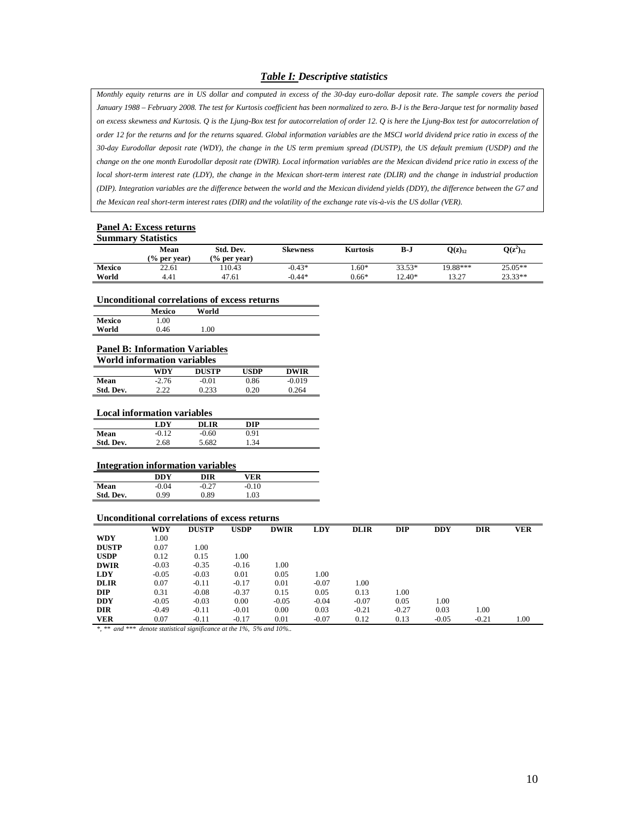#### *Table I: Descriptive statistics*

*Monthly equity returns are in US dollar and computed in excess of the 30-day euro-dollar deposit rate. The sample covers the period January 1988 – February 2008. The test for Kurtosis coefficient has been normalized to zero. B-J is the Bera-Jarque test for normality based on excess skewness and Kurtosis. Q is the Ljung-Box test for autocorrelation of order 12. Q is here the Ljung-Box test for autocorrelation of order 12 for the returns and for the returns squared. Global information variables are the MSCI world dividend price ratio in excess of the 30-day Eurodollar deposit rate (WDY), the change in the US term premium spread (DUSTP), the US default premium (USDP) and the change on the one month Eurodollar deposit rate (DWIR). Local information variables are the Mexican dividend price ratio in excess of the local short-term interest rate (LDY), the change in the Mexican short-term interest rate (DLIR) and the change in industrial production (DIP). Integration variables are the difference between the world and the Mexican dividend yields (DDY), the difference between the G7 and the Mexican real short-term interest rates (DIR) and the volatility of the exchange rate vis-à-vis the US dollar (VER).* 

#### **Panel A: Excess returns Summary Statistics**

| эципнаг у этанынд |                         |                         |                 |                 |        |               |               |  |
|-------------------|-------------------------|-------------------------|-----------------|-----------------|--------|---------------|---------------|--|
|                   | Mean                    | Std. Dev.               | <b>Skewness</b> | <b>Kurtosis</b> | B-J    | $O(z)_{12}$   | $Q(z^2)_{12}$ |  |
|                   | $\frac{6}{6}$ per vear) | $\frac{6}{6}$ per vear) |                 |                 |        |               |               |  |
| <b>Mexico</b>     | 22.61                   | 10.43                   | $-0.43*$        | $.60*$          | 33.53* | 19.88***      | $25.05**$     |  |
| World             | 4.41                    | 47.61                   | $-0.44*$        | $0.66*$         | 12.40* | 13 77<br>10.L | $23.33**$     |  |

#### **Unconditional correlations of excess returns**

|               | <b>Mexico</b> | World |  |
|---------------|---------------|-------|--|
| <b>Mexico</b> | 1.00          |       |  |
| World         | 0.46          | 1.00  |  |

#### **Panel B: Information Variables**

| World information variables |         |              |             |             |  |  |  |
|-----------------------------|---------|--------------|-------------|-------------|--|--|--|
|                             | WDY     | <b>DUSTP</b> | <b>USDP</b> | <b>DWIR</b> |  |  |  |
| Mean                        | $-2.76$ | $-0.01$      | 0.86        | $-0.019$    |  |  |  |
| Std. Dev.                   | 2.22    | 0.233        | 0.20        | 0.264       |  |  |  |

#### **Local information variables**

|           | LDY     | DLIR    | DIP  |  |
|-----------|---------|---------|------|--|
| Mean      | $-0.12$ | $-0.60$ | 0.91 |  |
| Std. Dev. | 2.68    | 5.682   | 1.34 |  |

#### **Integration information variables**

|           | THREE RUIDH MILDI MARTIN , MI MRICH |         |         |  |
|-----------|-------------------------------------|---------|---------|--|
|           | DDY                                 | DIR     | VER     |  |
| Mean      | $-0.04$                             | $-0.27$ | $-0.10$ |  |
| Std. Dev. | 0.99                                | 0.89    | 1.03    |  |
|           |                                     |         |         |  |

#### **Unconditional correlations of excess returns**

|              | <b>WDY</b> | <b>DUSTP</b> | <b>USDP</b> | <b>DWIR</b> | <b>LDY</b> | <b>DLIR</b> | DIP     | <b>DDY</b> | <b>DIR</b> | <b>VER</b> |
|--------------|------------|--------------|-------------|-------------|------------|-------------|---------|------------|------------|------------|
| <b>WDY</b>   | 1.00       |              |             |             |            |             |         |            |            |            |
| <b>DUSTP</b> | 0.07       | 1.00         |             |             |            |             |         |            |            |            |
| <b>USDP</b>  | 0.12       | 0.15         | 1.00        |             |            |             |         |            |            |            |
| <b>DWIR</b>  | $-0.03$    | $-0.35$      | $-0.16$     | 1.00        |            |             |         |            |            |            |
| <b>LDY</b>   | $-0.05$    | $-0.03$      | 0.01        | 0.05        | 1.00       |             |         |            |            |            |
| <b>DLIR</b>  | 0.07       | $-0.11$      | $-0.17$     | 0.01        | $-0.07$    | 1.00        |         |            |            |            |
| <b>DIP</b>   | 0.31       | $-0.08$      | $-0.37$     | 0.15        | 0.05       | 0.13        | 1.00    |            |            |            |
| <b>DDY</b>   | $-0.05$    | $-0.03$      | 0.00        | $-0.05$     | $-0.04$    | $-0.07$     | 0.05    | 1.00       |            |            |
| <b>DIR</b>   | $-0.49$    | $-0.11$      | $-0.01$     | 0.00        | 0.03       | $-0.21$     | $-0.27$ | 0.03       | 1.00       |            |
| <b>VER</b>   | 0.07       | $-0.11$      | $-0.17$     | 0.01        | $-0.07$    | 0.12        | 0.13    | $-0.05$    | $-0.21$    | 1.00       |

*\*, \*\* and \*\*\* denote statistical significance at the 1%, 5% and 10%..*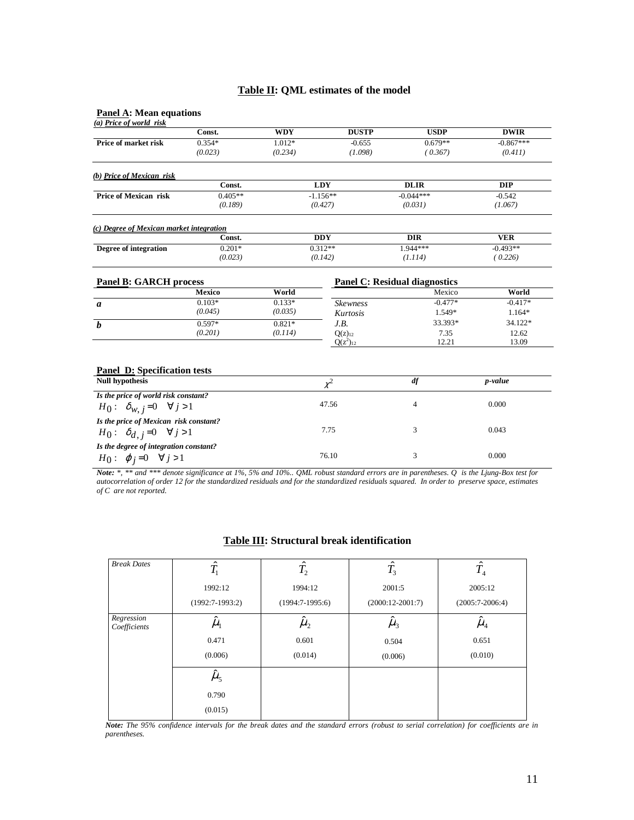#### **Table II: QML estimates of the model**

#### **Panel A: Mean equations**

| (a) Price of world risk                                       |           |            |                 |                                      |             |
|---------------------------------------------------------------|-----------|------------|-----------------|--------------------------------------|-------------|
|                                                               | Const.    | <b>WDY</b> | <b>DUSTP</b>    | <b>USDP</b>                          | <b>DWIR</b> |
| Price of market risk                                          | $0.354*$  | $1.012*$   | $-0.655$        | $0.679**$                            | $-0.867***$ |
|                                                               | (0.023)   | (0.234)    | (1.098)         | (0.367)                              | (0.411)     |
| (b) Price of Mexican risk                                     |           |            |                 |                                      |             |
|                                                               | Const.    |            | <b>LDY</b>      | <b>DLIR</b>                          | <b>DIP</b>  |
| <b>Price of Mexican risk</b>                                  | $0.405**$ |            | $-1.156**$      | $-0.044***$                          | $-0.542$    |
|                                                               | (0.189)   |            | (0.427)         | (0.031)                              | (1.067)     |
| (c) Degree of Mexican market integration                      |           |            |                 |                                      |             |
|                                                               | Const.    |            | <b>DDY</b>      | <b>DIR</b>                           | <b>VER</b>  |
| Degree of integration                                         | $0.201*$  |            | $0.312**$       | 1.944***                             | $-0.493**$  |
|                                                               | (0.023)   | (0.142)    |                 | (1.114)                              | (0.226)     |
| <b>Panel B: GARCH process</b>                                 |           |            |                 | <b>Panel C: Residual diagnostics</b> |             |
|                                                               | Mexico    | World      |                 | Mexico                               | World       |
| a                                                             | $0.103*$  | $0.133*$   | <b>Skewness</b> | $-0.477*$                            | $-0.417*$   |
|                                                               | (0.045)   | (0.035)    | Kurtosis        | 1.549*                               | 1.164*      |
| $\boldsymbol{h}$                                              | $0.597*$  | $0.821*$   | J.B.            | 33.393*                              | 34.122*     |
|                                                               | (0.201)   | (0.114)    | $Q(z)_{12}$     | 7.35                                 | 12.62       |
|                                                               |           |            | $Q(z^2)_{12}$   | 12.21                                | 13.09       |
|                                                               |           |            |                 |                                      |             |
| <b>Panel D:</b> Specification tests<br><b>Null hypothesis</b> |           |            | $\chi^2$        | df                                   | p-value     |
| Is the price of world risk constant?                          |           |            |                 |                                      |             |
| $H_0: \delta_{w, i}=0 \quad \forall j>1$                      |           |            | 47.56           | 4                                    | 0.000       |
| Is the price of Mexican risk constant?                        |           |            |                 |                                      |             |
| $H_0: \delta_{d,j}=0 \quad \forall j>1$                       |           | 7.75       |                 | 3                                    | 0.043       |
| Is the degree of integration constant?                        |           | 76.10      |                 | 3                                    | 0.000       |
| $H_0: \varphi_j=0 \quad \forall j>1$                          |           |            |                 |                                      |             |

*Note: \*, \*\* and \*\*\* denote significance at 1%, 5% and 10%.. QML robust standard errors are in parentheses. Q is the Ljung-Box test for autocorrelation of order 12 for the standardized residuals and for the standardized residuals squared. In order to preserve space, estimates of C are not reported.* 

| <b>Break Dates</b>         | $\hat{T_1}$             | $\hat{T_2}$       | $\hat{T_3}$        | $\hat{T_{4}}$     |
|----------------------------|-------------------------|-------------------|--------------------|-------------------|
|                            | 1992:12                 | 1994:12           | 2001:5             | 2005:12           |
|                            | $(1992:7-1993:2)$       | $(1994:7-1995:6)$ | $(2000:12-2001:7)$ | $(2005:7-2006:4)$ |
| Regression<br>Coefficients | $\mu_{\text{\tiny{l}}}$ | $\mu_{2}$         | $\hat{\mu}_3$      | $\hat{\mu}_4$     |
|                            | 0.471                   | 0.601             | 0.504              | 0.651             |
|                            | (0.006)                 | (0.014)           | (0.006)            | (0.010)           |
|                            | $\hat{\mu}_5$           |                   |                    |                   |
|                            | 0.790                   |                   |                    |                   |
|                            | (0.015)                 |                   |                    |                   |

## **Table III: Structural break identification**

*Note: The 95% confidence intervals for the break dates and the standard errors (robust to serial correlation) for coefficients are in parentheses.*